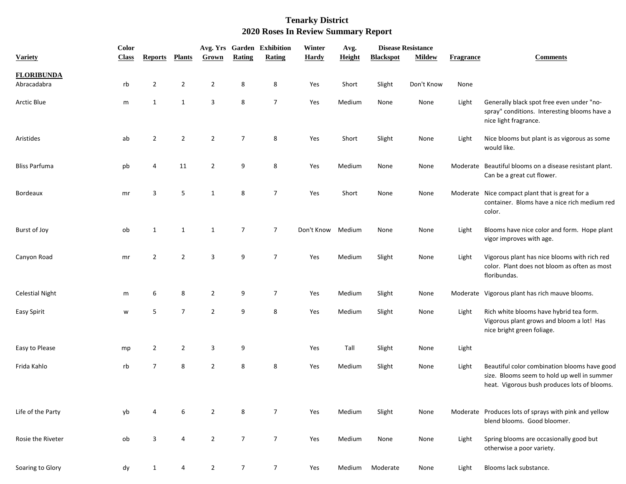|                        | <b>Color</b> |                |                |                |                  | Avg. Yrs Garden Exhibition | Winter       | Avg.   | <b>Disease Resistance</b> |               |                  |                                                                                                                                             |
|------------------------|--------------|----------------|----------------|----------------|------------------|----------------------------|--------------|--------|---------------------------|---------------|------------------|---------------------------------------------------------------------------------------------------------------------------------------------|
| <b>Variety</b>         | <b>Class</b> | <b>Reports</b> | <b>Plants</b>  | Grown          | Rating           | Rating                     | <b>Hardy</b> | Height | <b>Blackspot</b>          | <b>Mildew</b> | <b>Fragrance</b> | <b>Comments</b>                                                                                                                             |
| <b>FLORIBUNDA</b>      |              |                |                |                |                  |                            |              |        |                           |               |                  |                                                                                                                                             |
| Abracadabra            | rb           | $\overline{2}$ | $\overline{2}$ | $\overline{2}$ | 8                | 8                          | Yes          | Short  | Slight                    | Don't Know    | None             |                                                                                                                                             |
| <b>Arctic Blue</b>     | m            | $\mathbf{1}$   | $\mathbf{1}$   | 3              | $\bf 8$          | $\overline{7}$             | Yes          | Medium | None                      | None          | Light            | Generally black spot free even under "no-<br>spray" conditions. Interesting blooms have a<br>nice light fragrance.                          |
| Aristides              | ab           | $\overline{2}$ | $\overline{2}$ | $\overline{2}$ | $\overline{7}$   | $\,8\,$                    | Yes          | Short  | Slight                    | None          | Light            | Nice blooms but plant is as vigorous as some<br>would like.                                                                                 |
| <b>Bliss Parfuma</b>   | pb           | 4              | 11             | $\overline{2}$ | 9                | 8                          | Yes          | Medium | None                      | None          |                  | Moderate Beautiful blooms on a disease resistant plant.<br>Can be a great cut flower.                                                       |
| Bordeaux               | mr           | 3              | 5              | $\mathbf{1}$   | 8                | $\overline{7}$             | Yes          | Short  | None                      | None          |                  | Moderate Nice compact plant that is great for a<br>container. Bloms have a nice rich medium red<br>color.                                   |
| Burst of Joy           | ob           | 1              | 1              | $\mathbf{1}$   | $\overline{7}$   | $\overline{7}$             | Don't Know   | Medium | None                      | None          | Light            | Blooms have nice color and form. Hope plant<br>vigor improves with age.                                                                     |
| Canyon Road            | mr           | $\overline{2}$ | $\overline{2}$ | 3              | 9                | $\overline{7}$             | Yes          | Medium | Slight                    | None          | Light            | Vigorous plant has nice blooms with rich red<br>color. Plant does not bloom as often as most<br>floribundas.                                |
| <b>Celestial Night</b> | m            | 6              | 8              | $\overline{2}$ | 9                | $\overline{7}$             | Yes          | Medium | Slight                    | None          |                  | Moderate Vigorous plant has rich mauve blooms.                                                                                              |
| Easy Spirit            | w            | 5              | $\overline{7}$ | $\overline{2}$ | 9                | 8                          | Yes          | Medium | Slight                    | None          | Light            | Rich white blooms have hybrid tea form.<br>Vigorous plant grows and bloom a lot! Has<br>nice bright green foliage.                          |
| Easy to Please         | mp           | $\overline{2}$ | 2              | 3              | 9                |                            | Yes          | Tall   | Slight                    | None          | Light            |                                                                                                                                             |
| Frida Kahlo            | rb           | $\overline{7}$ | 8              | $\overline{2}$ | $\bf 8$          | 8                          | Yes          | Medium | Slight                    | None          | Light            | Beautiful color combination blooms have good<br>size. Blooms seem to hold up well in summer<br>heat. Vigorous bush produces lots of blooms. |
| Life of the Party      | yb           | 4              | 6              | $\overline{2}$ | 8                | $\overline{7}$             | Yes          | Medium | Slight                    | None          |                  | Moderate Produces lots of sprays with pink and yellow<br>blend blooms. Good bloomer.                                                        |
| Rosie the Riveter      | ob           | 3              | 4              | $\overline{2}$ | $\overline{7}$   | $\overline{7}$             | Yes          | Medium | None                      | None          | Light            | Spring blooms are occasionally good but<br>otherwise a poor variety.                                                                        |
| Soaring to Glory       | dy           | $\mathbf{1}$   | 4              | $\overline{2}$ | $\boldsymbol{7}$ | $\overline{7}$             | Yes          | Medium | Moderate                  | None          | Light            | Blooms lack substance.                                                                                                                      |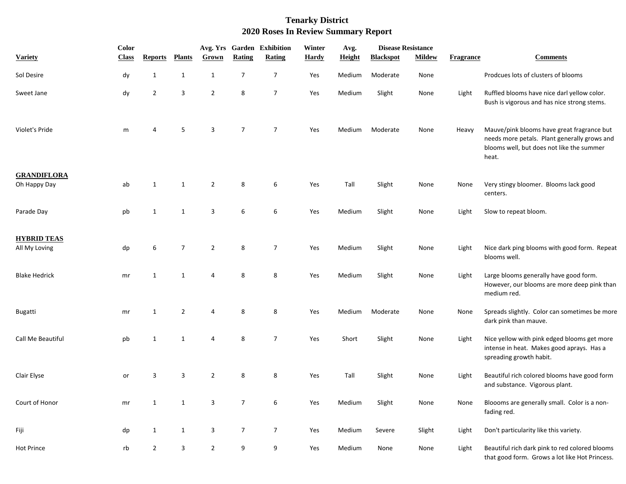|                                     | Color        |                |                |                |                  | Avg. Yrs Garden Exhibition | Winter       | Avg.          | <b>Disease Resistance</b> |               |                  |                                                                                                                                                  |
|-------------------------------------|--------------|----------------|----------------|----------------|------------------|----------------------------|--------------|---------------|---------------------------|---------------|------------------|--------------------------------------------------------------------------------------------------------------------------------------------------|
| <b>Variety</b>                      | <b>Class</b> | <b>Reports</b> | <b>Plants</b>  | Grown          | Rating           | Rating                     | <b>Hardy</b> | <b>Height</b> | <b>Blackspot</b>          | <b>Mildew</b> | <b>Fragrance</b> | <b>Comments</b>                                                                                                                                  |
| Sol Desire                          | dy           | 1              | $\mathbf{1}$   | $\mathbf{1}$   | $\boldsymbol{7}$ | $\overline{7}$             | Yes          | Medium        | Moderate                  | None          |                  | Prodcues lots of clusters of blooms                                                                                                              |
| Sweet Jane                          | dy           | $\overline{2}$ | 3              | $\overline{2}$ | 8                | $\overline{7}$             | Yes          | Medium        | Slight                    | None          | Light            | Ruffled blooms have nice darl yellow color.<br>Bush is vigorous and has nice strong stems.                                                       |
| Violet's Pride                      | m            |                | 5              | 3              | $\overline{7}$   | $\overline{7}$             | Yes          | <b>Medium</b> | Moderate                  | None          | Heavy            | Mauve/pink blooms have great fragrance but<br>needs more petals. Plant generally grows and<br>blooms well, but does not like the summer<br>heat. |
| <b>GRANDIFLORA</b><br>Oh Happy Day  | ab           | 1              | 1              | $\overline{2}$ | 8                | 6                          | Yes          | Tall          | Slight                    | None          | None             | Very stingy bloomer. Blooms lack good<br>centers.                                                                                                |
| Parade Day                          | pb           | 1              | $\mathbf{1}$   | 3              | 6                | 6                          | Yes          | Medium        | Slight                    | None          | Light            | Slow to repeat bloom.                                                                                                                            |
| <b>HYBRID TEAS</b><br>All My Loving | dp           | 6              | $\overline{7}$ | $\overline{2}$ | 8                | $\overline{7}$             | Yes          | Medium        | Slight                    | None          | Light            | Nice dark ping blooms with good form. Repeat<br>blooms well.                                                                                     |
| <b>Blake Hedrick</b>                | mr           | 1              | $\mathbf{1}$   | $\overline{4}$ | 8                | 8                          | Yes          | Medium        | Slight                    | None          | Light            | Large blooms generally have good form.<br>However, our blooms are more deep pink than<br>medium red.                                             |
| <b>Bugatti</b>                      | mr           | 1              | $\overline{2}$ | 4              | 8                | 8                          | Yes          | Medium        | Moderate                  | None          | None             | Spreads slightly. Color can sometimes be more<br>dark pink than mauve.                                                                           |
| Call Me Beautiful                   | pb           | 1              | $\mathbf{1}$   | 4              | 8                | $\overline{7}$             | Yes          | Short         | Slight                    | None          | Light            | Nice yellow with pink edged blooms get more<br>intense in heat. Makes good aprays. Has a<br>spreading growth habit.                              |
| Clair Elyse                         | or           | 3              | 3              | $\overline{2}$ | 8                | 8                          | Yes          | Tall          | Slight                    | None          | Light            | Beautiful rich colored blooms have good form<br>and substance. Vigorous plant.                                                                   |
| Court of Honor                      | mr           | $\mathbf{1}$   | $\mathbf{1}$   | 3              | $\overline{7}$   | 6                          | Yes          | Medium        | Slight                    | None          | None             | Bloooms are generally small. Color is a non-<br>fading red.                                                                                      |
| Fiji                                | dp           | $\mathbf{1}$   | $\mathbf{1}$   | 3              | $\overline{7}$   | $\overline{7}$             | Yes          | Medium        | Severe                    | Slight        | Light            | Don't particularity like this variety.                                                                                                           |
| <b>Hot Prince</b>                   | rb           | $\overline{2}$ | 3              | $\overline{2}$ | 9                | 9                          | Yes          | Medium        | None                      | None          | Light            | Beautiful rich dark pink to red colored blooms<br>that good form. Grows a lot like Hot Princess.                                                 |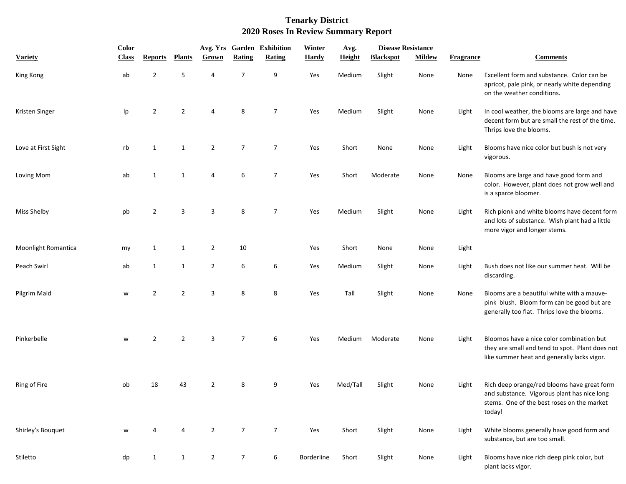|                     | Color        |                |                |                |                | Avg. Yrs Garden Exhibition | Winter       | Avg.          | <b>Disease Resistance</b> |               |                  |                                                                                                                                                    |  |
|---------------------|--------------|----------------|----------------|----------------|----------------|----------------------------|--------------|---------------|---------------------------|---------------|------------------|----------------------------------------------------------------------------------------------------------------------------------------------------|--|
| <b>Variety</b>      | <b>Class</b> | <b>Reports</b> | <b>Plants</b>  | Grown          | Rating         | Rating                     | <b>Hardy</b> | <b>Height</b> | <b>Blackspot</b>          | <b>Mildew</b> | <b>Fragrance</b> | <b>Comments</b>                                                                                                                                    |  |
| King Kong           | ab           | $\overline{2}$ | 5              | $\overline{4}$ | $\overline{7}$ | 9                          | Yes          | Medium        | Slight                    | None          | None             | Excellent form and substance. Color can be<br>apricot, pale pink, or nearly white depending<br>on the weather conditions.                          |  |
| Kristen Singer      | Ip           | $\overline{2}$ | 2              | 4              | 8              | $\overline{7}$             | Yes          | Medium        | Slight                    | None          | Light            | In cool weather, the blooms are large and have<br>decent form but are small the rest of the time.<br>Thrips love the blooms.                       |  |
| Love at First Sight | rb           | 1              | 1              | $\overline{2}$ | $\overline{7}$ | $\overline{7}$             | Yes          | Short         | None                      | None          | Light            | Blooms have nice color but bush is not very<br>vigorous.                                                                                           |  |
| Loving Mom          | ab           | 1              | $\mathbf{1}$   | 4              | 6              | $\overline{7}$             | Yes          | Short         | Moderate                  | None          | None             | Blooms are large and have good form and<br>color. However, plant does not grow well and<br>is a sparce bloomer.                                    |  |
| Miss Shelby         | pb           | $\overline{2}$ | 3              | 3              | 8              | $\overline{7}$             | Yes          | Medium        | Slight                    | None          | Light            | Rich pionk and white blooms have decent form<br>and lots of substance. Wish plant had a little<br>more vigor and longer stems.                     |  |
| Moonlight Romantica | my           | 1              | 1              | $\overline{2}$ | 10             |                            | Yes          | Short         | None                      | None          | Light            |                                                                                                                                                    |  |
| Peach Swirl         | ab           | 1              | $\mathbf{1}$   | $\overline{2}$ | 6              | 6                          | Yes          | Medium        | Slight                    | None          | Light            | Bush does not like our summer heat. Will be<br>discarding.                                                                                         |  |
| Pilgrim Maid        | w            | $\overline{2}$ | $\overline{2}$ | 3              | 8              | 8                          | Yes          | Tall          | Slight                    | None          | None             | Blooms are a beautiful white with a mauve-<br>pink blush. Bloom form can be good but are<br>generally too flat. Thrips love the blooms.            |  |
| Pinkerbelle         | w            | 2              | $\overline{2}$ | 3              | $\overline{7}$ | 6                          | Yes          | Medium        | Moderate                  | None          | Light            | Bloomos have a nice color combination but<br>they are small and tend to spot. Plant does not<br>like summer heat and generally lacks vigor.        |  |
| Ring of Fire        | ob           | 18             | 43             | $\overline{2}$ | 8              | 9                          | Yes          | Med/Tall      | Slight                    | None          | Light            | Rich deep orange/red blooms have great form<br>and substance. Vigorous plant has nice long<br>stems. One of the best roses on the market<br>today! |  |
| Shirley's Bouquet   | w            | 4              | 4              | $\overline{2}$ | $\overline{7}$ | $\overline{7}$             | Yes          | Short         | Slight                    | None          | Light            | White blooms generally have good form and<br>substance, but are too small.                                                                         |  |
| Stiletto            | dp           | $\mathbf{1}$   | 1              | $\overline{2}$ | $\overline{7}$ | 6                          | Borderline   | Short         | Slight                    | None          | Light            | Blooms have nice rich deep pink color, but<br>plant lacks vigor.                                                                                   |  |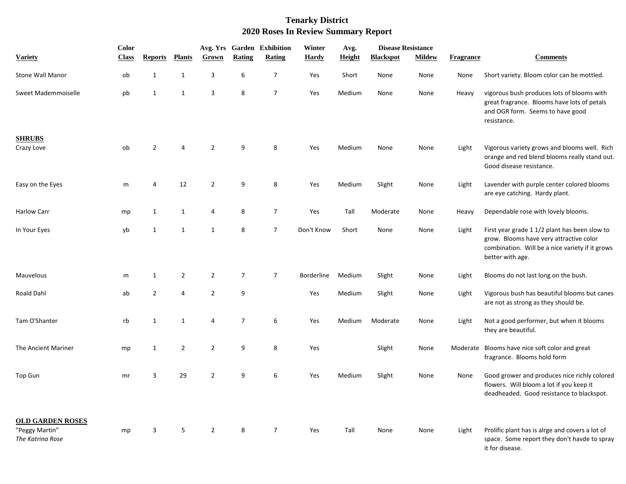|                                                               | Color        |                |                |                |                  | Avg. Yrs Garden Exhibition | Winter            | Avg.   | <b>Disease Resistance</b> |               |                  |                                                                                                                                                                 |
|---------------------------------------------------------------|--------------|----------------|----------------|----------------|------------------|----------------------------|-------------------|--------|---------------------------|---------------|------------------|-----------------------------------------------------------------------------------------------------------------------------------------------------------------|
| <b>Variety</b>                                                | <b>Class</b> | <b>Reports</b> | <b>Plants</b>  | Grown          | Rating           | <b>Rating</b>              | <b>Hardy</b>      | Height | <b>Blackspot</b>          | <b>Mildew</b> | <b>Fragrance</b> | <b>Comments</b>                                                                                                                                                 |
| <b>Stone Wall Manor</b>                                       | ob           | $\mathbf{1}$   | $\mathbf{1}$   | 3              | $\boldsymbol{6}$ | $\boldsymbol{7}$           | Yes               | Short  | None                      | None          | None             | Short variety. Bloom color can be mottled.                                                                                                                      |
| Sweet Mademmoiselle                                           | pb           | $\mathbf{1}$   | 1              | 3              | 8                | $\overline{7}$             | Yes               | Medium | None                      | None          | Heavy            | vigorous bush produces lots of blooms with<br>great fragrance. Blooms have lots of petals<br>and OGR form. Seems to have good<br>resistance.                    |
| <b>SHRUBS</b><br>Crazy Love                                   | ob           | $\overline{2}$ | 4              | $\overline{2}$ | 9                | 8                          | Yes               | Medium | None                      | None          | Light            | Vigorous variety grows and blooms well. Rich<br>orange and red blend blooms really stand out.<br>Good disease resistance.                                       |
| Easy on the Eyes                                              | m            | 4              | 12             | $\overline{2}$ | 9                | 8                          | Yes               | Medium | Slight                    | None          | Light            | Lavender with purple center colored blooms<br>are eye catching. Hardy plant.                                                                                    |
| <b>Harlow Carr</b>                                            | mp           | $\mathbf{1}$   | 1              | 4              | 8                | $\overline{7}$             | Yes               | Tall   | Moderate                  | None          | Heavy            | Dependable rose with lovely blooms.                                                                                                                             |
| In Your Eyes                                                  | yb           | $\mathbf{1}$   | $\mathbf{1}$   | $\mathbf{1}$   | 8                | $\overline{7}$             | Don't Know        | Short  | None                      | None          | Light            | First year grade 1 1/2 plant has been slow to<br>grow. Blooms have very attractive color<br>combination. Will be a nice variety if it grows<br>better with age. |
| Mauvelous                                                     | m            | $\mathbf{1}$   | $\overline{2}$ | $\overline{2}$ | $\overline{7}$   | $\overline{7}$             | <b>Borderline</b> | Medium | Slight                    | None          | Light            | Blooms do not last long on the bush.                                                                                                                            |
| <b>Roald Dahl</b>                                             | ab           | $\overline{2}$ | 4              | $\overline{2}$ | 9                |                            | Yes               | Medium | Slight                    | None          | Light            | Vigorous bush has beautiful blooms but canes<br>are not as strong as they should be.                                                                            |
| Tam O'Shanter                                                 | rb           | $\mathbf{1}$   | 1              | 4              | 7                | 6                          | Yes               | Medium | Moderate                  | None          | Light            | Not a good performer, but when it blooms<br>they are beautiful.                                                                                                 |
| The Ancient Mariner                                           | mp           | $\mathbf{1}$   | $\overline{2}$ | $\overline{2}$ | 9                | 8                          | Yes               |        | Slight                    | None          | Moderate         | Blooms have nice soft color and great<br>fragrance. Blooms hold form                                                                                            |
| <b>Top Gun</b>                                                | mr           | 3              | 29             | $\overline{2}$ | 9                | 6                          | Yes               | Medium | Slight                    | None          | None             | Good grower and produces nice richly colored<br>flowers. Will bloom a lot if you keep it<br>deadheaded. Good resistance to blackspot.                           |
| <b>OLD GARDEN ROSES</b><br>"Peggy Martin"<br>The Katrina Rose | mp           | 3              | 5              | $\overline{2}$ | 8                | $\overline{7}$             | Yes               | Tall   | None                      | None          | Light            | Prolific plant has is alrge and covers a lot of<br>space. Some report they don't havde to spray<br>it for disease.                                              |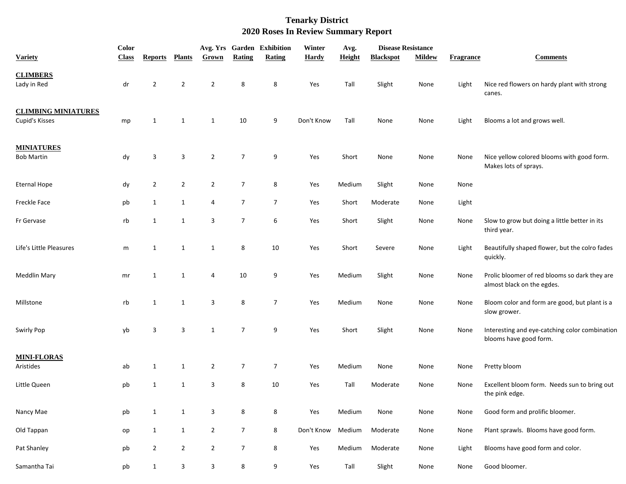|                                              | <b>Color</b> |                |                |                |                | Avg. Yrs Garden Exhibition | Winter       | Avg.          |                  | <b>Disease Resistance</b> |                  |                                                                             |
|----------------------------------------------|--------------|----------------|----------------|----------------|----------------|----------------------------|--------------|---------------|------------------|---------------------------|------------------|-----------------------------------------------------------------------------|
| <b>Variety</b>                               | <b>Class</b> | <b>Reports</b> | <b>Plants</b>  | Grown          | Rating         | Rating                     | <b>Hardy</b> | <b>Height</b> | <b>Blackspot</b> | <b>Mildew</b>             | <b>Fragrance</b> | <b>Comments</b>                                                             |
| <b>CLIMBERS</b><br>Lady in Red               | dr           | $\overline{2}$ | $\overline{2}$ | $\overline{2}$ | 8              | 8                          | Yes          | Tall          | Slight           | None                      | Light            | Nice red flowers on hardy plant with strong<br>canes.                       |
| <b>CLIMBING MINIATURES</b><br>Cupid's Kisses | mp           | $\mathbf{1}$   | $\mathbf{1}$   | $\mathbf{1}$   | 10             | 9                          | Don't Know   | Tall          | None             | None                      | Light            | Blooms a lot and grows well.                                                |
| <b>MINIATURES</b><br><b>Bob Martin</b>       | dy           | 3              | 3              | $\overline{2}$ | $\overline{7}$ | 9                          | Yes          | Short         | None             | None                      | None             | Nice yellow colored blooms with good form.<br>Makes lots of sprays.         |
| <b>Eternal Hope</b>                          | dy           | $\overline{2}$ | $\overline{2}$ | $\overline{2}$ | $\overline{7}$ | 8                          | Yes          | Medium        | Slight           | None                      | None             |                                                                             |
| <b>Freckle Face</b>                          | pb           | $\mathbf{1}$   | $\mathbf{1}$   | $\overline{a}$ | $\overline{7}$ | $\overline{7}$             | Yes          | Short         | Moderate         | None                      | Light            |                                                                             |
| Fr Gervase                                   | rb           | $\mathbf{1}$   | $\mathbf{1}$   | 3              | $\overline{7}$ | 6                          | Yes          | Short         | Slight           | None                      | None             | Slow to grow but doing a little better in its<br>third year.                |
| Life's Little Pleasures                      | m            | 1              | $\mathbf{1}$   | $\mathbf{1}$   | 8              | 10                         | Yes          | Short         | Severe           | None                      | Light            | Beautifully shaped flower, but the colro fades<br>quickly.                  |
| <b>Meddlin Mary</b>                          | mr           | 1              | 1              | 4              | 10             | 9                          | Yes          | Medium        | Slight           | None                      | None             | Prolic bloomer of red blooms so dark they are<br>almost black on the egdes. |
| Millstone                                    | rb           | 1              | $\mathbf{1}$   | 3              | 8              | $\overline{7}$             | Yes          | Medium        | None             | None                      | None             | Bloom color and form are good, but plant is a<br>slow grower.               |
| Swirly Pop                                   | yb           | 3              | 3              | $\mathbf{1}$   | $\overline{7}$ | 9                          | Yes          | Short         | Slight           | None                      | None             | Interesting and eye-catching color combination<br>blooms have good form.    |
| <b>MINI-FLORAS</b><br>Aristides              | ab           | $\mathbf{1}$   | $\mathbf{1}$   | $\overline{2}$ | $\overline{7}$ | $\overline{7}$             | Yes          | Medium        | None             | None                      | None             | Pretty bloom                                                                |
| Little Queen                                 | pb           | 1              | $\mathbf{1}$   | 3              | 8              | 10                         | Yes          | Tall          | Moderate         | None                      | None             | Excellent bloom form. Needs sun to bring out<br>the pink edge.              |
| Nancy Mae                                    | pb           | $\mathbf{1}$   | $\mathbf{1}$   | 3              | 8              | 8                          | Yes          | Medium        | None             | None                      | None             | Good form and prolific bloomer.                                             |
| Old Tappan                                   | op           | $\mathbf{1}$   | $\mathbf{1}$   | $\overline{2}$ | $\overline{7}$ | 8                          | Don't Know   | Medium        | Moderate         | None                      | None             | Plant sprawls. Blooms have good form.                                       |
| Pat Shanley                                  | pb           | $\overline{2}$ | $\overline{2}$ | $\overline{2}$ | $\overline{7}$ | 8                          | Yes          | Medium        | Moderate         | None                      | Light            | Blooms have good form and color.                                            |
| Samantha Tai                                 | pb           | $\mathbf{1}$   | 3              | 3              | 8              | 9                          | Yes          | Tall          | Slight           | None                      | None             | Good bloomer.                                                               |